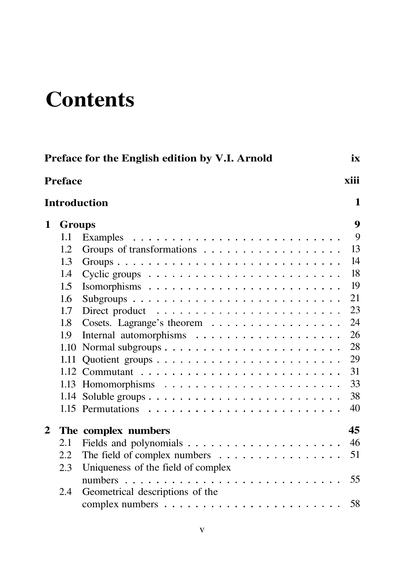## **Contents**

|                          | Preface for the English edition by V.I. Arnold<br>ix |                                    |    |  |  |  |
|--------------------------|------------------------------------------------------|------------------------------------|----|--|--|--|
| <b>Preface</b>           |                                                      |                                    |    |  |  |  |
| 1<br><b>Introduction</b> |                                                      |                                    |    |  |  |  |
| 1                        | <b>Groups</b>                                        |                                    | 9  |  |  |  |
|                          | $1.1\,$                                              |                                    | 9  |  |  |  |
|                          | 1.2                                                  |                                    | 13 |  |  |  |
|                          | 1.3                                                  |                                    | 14 |  |  |  |
|                          | 1.4                                                  |                                    | 18 |  |  |  |
|                          | 1.5                                                  |                                    | 19 |  |  |  |
|                          | 1.6                                                  |                                    | 21 |  |  |  |
|                          | 1.7                                                  |                                    | 23 |  |  |  |
|                          | 1.8                                                  | Cosets. Lagrange's theorem         | 24 |  |  |  |
|                          | 1.9                                                  |                                    | 26 |  |  |  |
|                          | 1.10                                                 |                                    | 28 |  |  |  |
|                          | 1.11                                                 |                                    | 29 |  |  |  |
|                          |                                                      |                                    | 31 |  |  |  |
|                          |                                                      |                                    | 33 |  |  |  |
|                          |                                                      |                                    | 38 |  |  |  |
|                          |                                                      |                                    | 40 |  |  |  |
| 2                        |                                                      | The complex numbers                | 45 |  |  |  |
|                          | 2.1                                                  |                                    | 46 |  |  |  |
|                          | 2.2                                                  | The field of complex numbers       | 51 |  |  |  |
|                          | 2.3                                                  | Uniqueness of the field of complex |    |  |  |  |
|                          |                                                      |                                    | 55 |  |  |  |
|                          | 2.4                                                  | Geometrical descriptions of the    |    |  |  |  |
|                          |                                                      |                                    | 58 |  |  |  |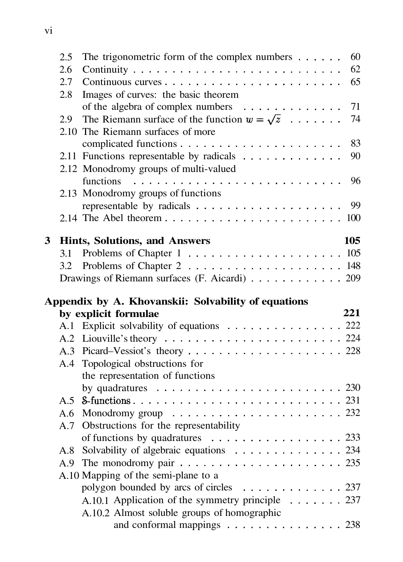|   | 2.5 | The trigonometric form of the complex numbers $\dots \dots$<br>60                                                                                                                                                                                                                                                                                                                                                                                                                       |  |
|---|-----|-----------------------------------------------------------------------------------------------------------------------------------------------------------------------------------------------------------------------------------------------------------------------------------------------------------------------------------------------------------------------------------------------------------------------------------------------------------------------------------------|--|
|   | 2.6 | 62                                                                                                                                                                                                                                                                                                                                                                                                                                                                                      |  |
|   | 2.7 | 65                                                                                                                                                                                                                                                                                                                                                                                                                                                                                      |  |
|   | 2.8 | Images of curves: the basic theorem                                                                                                                                                                                                                                                                                                                                                                                                                                                     |  |
|   |     | of the algebra of complex numbers<br>71                                                                                                                                                                                                                                                                                                                                                                                                                                                 |  |
|   | 2.9 | The Riemann surface of the function $w = \sqrt{z}$<br>74                                                                                                                                                                                                                                                                                                                                                                                                                                |  |
|   |     | 2.10 The Riemann surfaces of more                                                                                                                                                                                                                                                                                                                                                                                                                                                       |  |
|   |     | 83                                                                                                                                                                                                                                                                                                                                                                                                                                                                                      |  |
|   |     | 2.11 Functions representable by radicals<br>90                                                                                                                                                                                                                                                                                                                                                                                                                                          |  |
|   |     | 2.12 Monodromy groups of multi-valued                                                                                                                                                                                                                                                                                                                                                                                                                                                   |  |
|   |     | 96<br><i>functions</i><br>$\mathcal{L}_{\mathcal{A}}(\mathcal{A},\mathcal{A},\mathcal{A},\mathcal{A},\mathcal{A},\mathcal{A},\mathcal{A},\mathcal{A},\mathcal{A},\mathcal{A},\mathcal{A},\mathcal{A},\mathcal{A},\mathcal{A},\mathcal{A},\mathcal{A},\mathcal{A},\mathcal{A},\mathcal{A},\mathcal{A},\mathcal{A},\mathcal{A},\mathcal{A},\mathcal{A},\mathcal{A},\mathcal{A},\mathcal{A},\mathcal{A},\mathcal{A},\mathcal{A},\mathcal{A},\mathcal{A},\mathcal{A},\mathcal{A},\mathcal{$ |  |
|   |     | 2.13 Monodromy groups of functions                                                                                                                                                                                                                                                                                                                                                                                                                                                      |  |
|   |     | 99                                                                                                                                                                                                                                                                                                                                                                                                                                                                                      |  |
|   |     |                                                                                                                                                                                                                                                                                                                                                                                                                                                                                         |  |
|   |     |                                                                                                                                                                                                                                                                                                                                                                                                                                                                                         |  |
| 3 |     | 105<br>Hints, Solutions, and Answers                                                                                                                                                                                                                                                                                                                                                                                                                                                    |  |
|   | 3.1 |                                                                                                                                                                                                                                                                                                                                                                                                                                                                                         |  |
|   | 3.2 |                                                                                                                                                                                                                                                                                                                                                                                                                                                                                         |  |
|   |     | Drawings of Riemann surfaces (F. Aicardi) 209                                                                                                                                                                                                                                                                                                                                                                                                                                           |  |
|   |     |                                                                                                                                                                                                                                                                                                                                                                                                                                                                                         |  |
|   |     |                                                                                                                                                                                                                                                                                                                                                                                                                                                                                         |  |
|   |     | Appendix by A. Khovanskii: Solvability of equations<br>by explicit formulae<br>221                                                                                                                                                                                                                                                                                                                                                                                                      |  |
|   |     |                                                                                                                                                                                                                                                                                                                                                                                                                                                                                         |  |
|   |     | A.1 Explicit solvability of equations 222                                                                                                                                                                                                                                                                                                                                                                                                                                               |  |
|   |     |                                                                                                                                                                                                                                                                                                                                                                                                                                                                                         |  |
|   | A.4 | Topological obstructions for                                                                                                                                                                                                                                                                                                                                                                                                                                                            |  |
|   |     | the representation of functions                                                                                                                                                                                                                                                                                                                                                                                                                                                         |  |
|   |     | by quadratures $\ldots \ldots \ldots \ldots \ldots \ldots \ldots$                                                                                                                                                                                                                                                                                                                                                                                                                       |  |
|   |     |                                                                                                                                                                                                                                                                                                                                                                                                                                                                                         |  |
|   | A.6 |                                                                                                                                                                                                                                                                                                                                                                                                                                                                                         |  |
|   | A.7 | Obstructions for the representability                                                                                                                                                                                                                                                                                                                                                                                                                                                   |  |
|   |     | of functions by quadratures $\dots \dots \dots \dots \dots \dots \dots$ 233                                                                                                                                                                                                                                                                                                                                                                                                             |  |
|   | A.8 | Solvability of algebraic equations 234                                                                                                                                                                                                                                                                                                                                                                                                                                                  |  |
|   | A.9 | The monodromy pair $\ldots \ldots \ldots \ldots \ldots \ldots \ldots \ldots$ 235                                                                                                                                                                                                                                                                                                                                                                                                        |  |
|   |     | A.10 Mapping of the semi-plane to a                                                                                                                                                                                                                                                                                                                                                                                                                                                     |  |
|   |     | polygon bounded by arcs of circles 237                                                                                                                                                                                                                                                                                                                                                                                                                                                  |  |
|   |     | A.10.1 Application of the symmetry principle 237                                                                                                                                                                                                                                                                                                                                                                                                                                        |  |
|   |     | A.10.2 Almost soluble groups of homographic                                                                                                                                                                                                                                                                                                                                                                                                                                             |  |